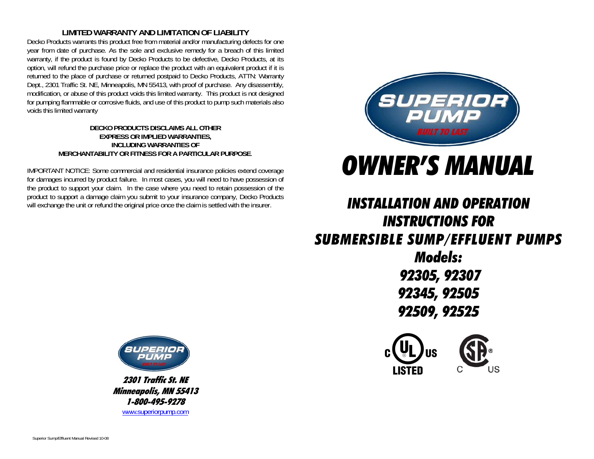#### **LIMITED WARRANTY AND LIMITATION OF LIABILITY**

Decko Products warrants this product free from material and/or manufacturing defects for one year from date of purchase. As the sole and exclusive remedy for a breach of this limited warranty, if the product is found by Decko Products to be defective, Decko Products, at its option, will refund the purchase price or replace the product with an equivalent product if it is returned to the place of purchase or returned postpaid to Decko Products, ATTN: Warranty Dept., 2301 Traffic St. NE, Minneapolis, MN 55413, with proof of purchase. Any disassembly, modification, or abuse of this product voids this limited warranty. This product is not designed for pumping flammable or corrosive fluids, and use of this product to pump such materials also voids this limited warranty

#### **DECKO PRODUCTS DISCLAIMS ALL OTHER EXPRESS OR IMPLIED WARRANTIES, INCLUDING WARRANTIES OF MERCHANTABILITY OR FITNESS FOR A PARTICULAR PURPOSE**.

IMPORTANT NOTICE: Some commercial and residential insurance policies extend coverage for damages incurred by product failure. In most cases, you will need to have possession of the product to support your claim. In the case where you need to retain possession of the product to support a damage claim you submit to your insurance company, Decko Products will exchange the unit or refund the original price once the claim is settled with the insurer.



# *OWNER'S MANUAL*

# *INSTALLATION AND OPERATION INSTRUCTIONS FOR SUBMERSIBLE SUMP/EFFLUENT PUMPS Models:*

 *92305, 92307 92345, 92505 92509, 92525* 





2301 Traffic St. NE Minneapolis, MN 55413 1-800-495-9278 www.superiorpump.com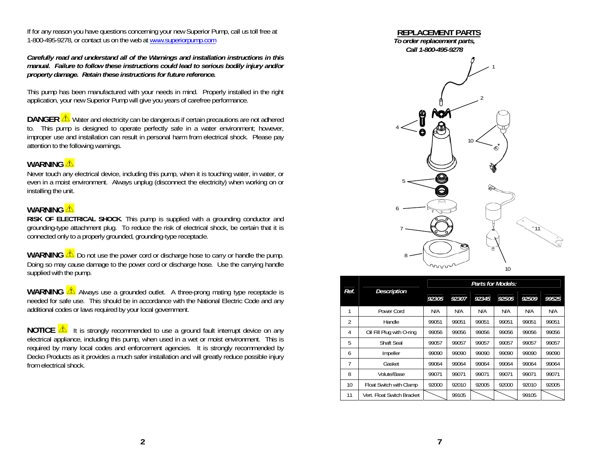If for any reason you have questions concerning your new Superior Pump, call us toll free at 1-800-495-9278, or contact us on the web at www.superiorpump.com

*Carefully read and understand all of the Warnings and installation instructions in this manual. Failure to follow these instructions could lead to serious bodily injury and/or property damage. Retain these instructions for future reference.* 

This pump has been manufactured with your needs in mind. Properly installed in the right application, your new Superior Pump will give you years of carefree performance.

**DANGER**  $\triangle$  Water and electricity can be dangerous if certain precautions are not adhered to. This pump is designed to operate perfectly safe in a water environment; however, improper use and installation can result in personal harm from electrical shock. Please pay attention to the following warnings.

#### WARNING<sup><sup>1</sup></sup>

 Never touch any electrical device, including this pump, when it is touching water, in water, or even in a moist environment. Always unplug (disconnect the electricity) when working on or installing the unit.

#### **WARNING**

 **RISK OF ELECTRICAL SHOCK**. This pump is supplied with a grounding conductor and grounding-type attachment plug. To reduce the risk of electrical shock, be certain that it is connected only to a properly grounded, grounding-type receptacle.

**WARNING**  $\triangle$  Do not use the power cord or discharge hose to carry or handle the pump. Doing so may cause damage to the power cord or discharge hose. Use the carrying handle supplied with the pump.

**WARNING**  $\sqrt{\Delta}$  Always use a grounded outlet. A three-prong mating type receptacle is needed for safe use. This should be in accordance with the National Electric Code and any additional codes or laws required by your local government.

**NOTICE**  $\sqrt{\Delta}$  it is strongly recommended to use a ground fault interrupt device on any electrical appliance, including this pump, when used in a wet or moist environment. This is required by many local codes and enforcement agencies. It is strongly recommended by Decko Products as it provides a much safer installation and will greatly reduce possible injury from electrical shock.



| Ref.           | <b>Description</b>         | Parts for Models: |       |       |       |       |       |
|----------------|----------------------------|-------------------|-------|-------|-------|-------|-------|
|                |                            | 92305             | 92307 | 92345 | 92505 | 92509 | 99525 |
| 1              | Power Cord                 | N/A               | N/A   | N/A   | N/A   | N/A   | N/A   |
| $\overline{2}$ | Handle                     | 99051             | 99051 | 99051 | 99051 | 99051 | 99051 |
| 4              | Oil Fill Plug with O-ring  | 99056             | 99056 | 99056 | 99056 | 99056 | 99056 |
| 5              | <b>Shaft Seal</b>          | 99057             | 99057 | 99057 | 99057 | 99057 | 99057 |
| 6              | Impeller                   | 99090             | 99090 | 99090 | 99090 | 99090 | 99090 |
| 7              | Gasket                     | 99064             | 99064 | 99064 | 99064 | 99064 | 99064 |
| 8              | Volute/Base                | 99071             | 99071 | 99071 | 99071 | 99071 | 99071 |
| 10             | Float Switch with Clamp    | 92000             | 92010 | 92005 | 92000 | 92010 | 92005 |
| 11             | Vert. Float Switch Bracket |                   | 99105 |       |       | 99105 |       |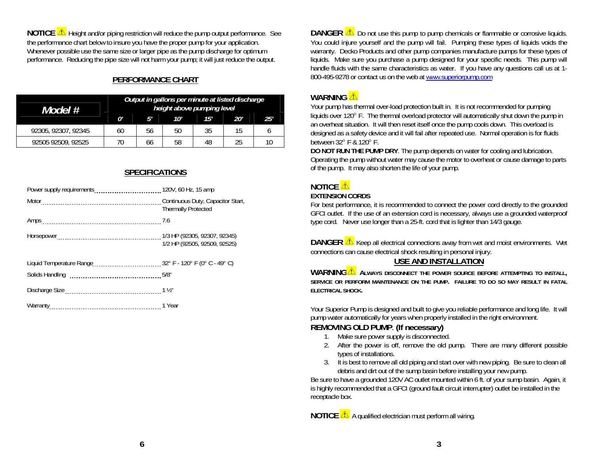**NOTICE A** Height and/or piping restriction will reduce the pump output performance. See the performance chart below to insure you have the proper pump for your application. Whenever possible use the same size or larger pipe as the pump discharge for optimum performance. Reducing the pipe size will not harm your pump; it will just reduce the output.

# **PERFORMANCE CHART**

| Model #             | Output in gallons per minute at listed discharge<br>height above pumping level |    |     |     |     |     |
|---------------------|--------------------------------------------------------------------------------|----|-----|-----|-----|-----|
|                     | n'                                                                             | 5' | 10' | 15' | 20' | 25' |
| 92305, 92307, 92345 | 60                                                                             | 56 | 50  | 35  | 15  |     |
| 92505 92509, 92525  | 70                                                                             | 66 | 58  | 48  | 25  | 10  |

### **SPECIFICATIONS**

|                       | <b>Thermally Protected</b>   |
|-----------------------|------------------------------|
| Amps 2.6              |                              |
|                       | 1/2 HP (92505, 92509, 92525) |
|                       |                              |
|                       |                              |
|                       |                              |
| Warranty 2010 11 Year |                              |

**DANGER**  $\triangle$  Do not use this pump to pump chemicals or flammable or corrosive liquids. You could injure yourself and the pump will fail. Pumping these types of liquids voids the warranty. Decko Products and other pump companies manufacture pumps for these types of liquids. Make sure you purchase a pump designed for your specific needs. This pump will handle fluids with the same characteristics as water. If you have any questions call us at 1- 800-495-9278 or contact us on the web at www.superiorpump.com

# **WARNING**

Your pump has thermal over-load protection built in. It is not recommended for pumping liquids over 120° F. The thermal overload protector will automatically shut down the pump in an overheat situation. It will then reset itself once the pump cools down. This overload is designed as a safety device and it will fail after repeated use. Normal operation is for fluids between  $32^{\circ}$  F &  $120^{\circ}$  F.

**DO NOT RUN THE PUMP DRY**. The pump depends on water for cooling and lubrication. Operating the pump without water may cause the motor to overheat or cause damage to parts of the pump. It may also shorten the life of your pump.

# **NOTICE**  $\triangle$

#### **EXTENSION CORDS**

For best performance, it is recommended to connect the power cord directly to the grounded GFCI outlet. If the use of an extension cord is necessary, always use a grounded waterproof type cord. Never use longer than a 25-ft. cord that is lighter than 14/3 gauge.

**DANGER**  $\triangle$  Keep all electrical connections away from wet and moist environments. Wet connections can cause electrical shock resulting in personal injury.

# **USE AND INSTALLATION**

**WARNING ALWAYS DISCONNECT THE POWER SOURCE BEFORE ATTEMPTING TO INSTALL, SERVICE OR PERFORM MAINTENANCE ON THE PUMP. FAILURE TO DO SO MAY RESULT IN FATAL ELECTRICAL SHOCK.** 

Your Superior Pump is designed and built to give you reliable performance and long life. It will pump water automatically for years when properly installed in the right environment.

# **REMOVING OLD PUMP**. **(If necessary)**

- 1. Make sure power supply is disconnected.
- 2. After the power is off, remove the old pump. There are many different possible types of installations.
- 3. It is best to remove all old piping and start over with new piping. Be sure to clean all debris and dirt out of the sump basin before installing your new pump.

Be sure to have a grounded 120V AC outlet mounted within 6 ft. of your sump basin. Again, it is highly recommended that a GFCI (ground fault circuit interrupter) outlet be installed in the receptacle box.

**NOTICE A** qualified electrician must perform all wiring.